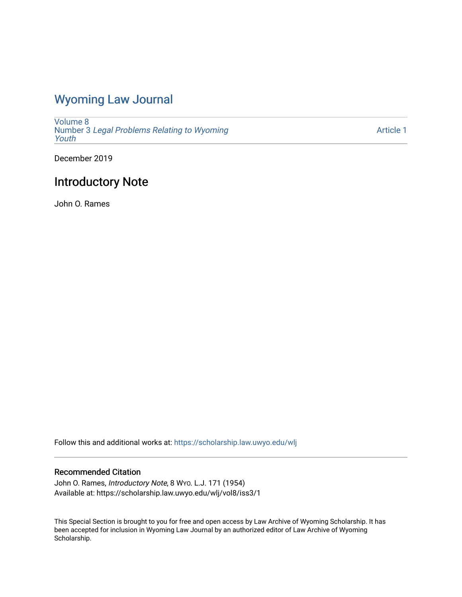## [Wyoming Law Journal](https://scholarship.law.uwyo.edu/wlj)

[Volume 8](https://scholarship.law.uwyo.edu/wlj/vol8) Number 3 [Legal Problems Relating to Wyoming](https://scholarship.law.uwyo.edu/wlj/vol8/iss3) [Youth](https://scholarship.law.uwyo.edu/wlj/vol8/iss3)

[Article 1](https://scholarship.law.uwyo.edu/wlj/vol8/iss3/1) 

December 2019

## Introductory Note

John O. Rames

Follow this and additional works at: [https://scholarship.law.uwyo.edu/wlj](https://scholarship.law.uwyo.edu/wlj?utm_source=scholarship.law.uwyo.edu%2Fwlj%2Fvol8%2Fiss3%2F1&utm_medium=PDF&utm_campaign=PDFCoverPages) 

## Recommended Citation

John O. Rames, Introductory Note, 8 WYO. L.J. 171 (1954) Available at: https://scholarship.law.uwyo.edu/wlj/vol8/iss3/1

This Special Section is brought to you for free and open access by Law Archive of Wyoming Scholarship. It has been accepted for inclusion in Wyoming Law Journal by an authorized editor of Law Archive of Wyoming Scholarship.